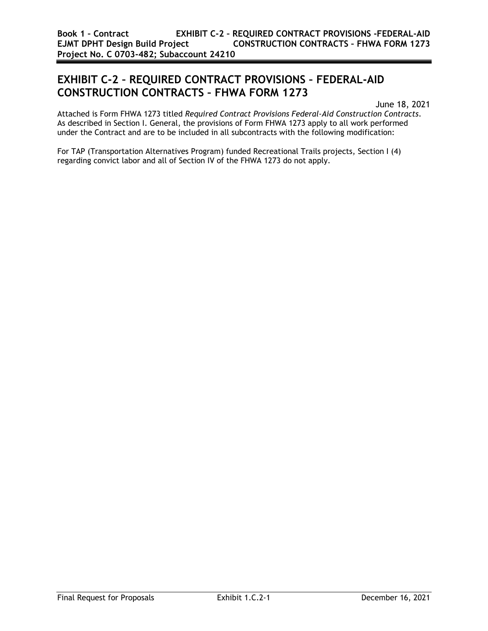# **EXHIBIT C-2 – REQUIRED CONTRACT PROVISIONS – FEDERAL-AID CONSTRUCTION CONTRACTS – FHWA FORM 1273**

June 18, 2021

Attached is Form FHWA 1273 titled *Required Contract Provisions Federal-Aid Construction Contracts*. As described in Section I. General, the provisions of Form FHWA 1273 apply to all work performed under the Contract and are to be included in all subcontracts with the following modification:

For TAP (Transportation Alternatives Program) funded Recreational Trails projects, Section I (4) regarding convict labor and all of Section IV of the FHWA 1273 do not apply.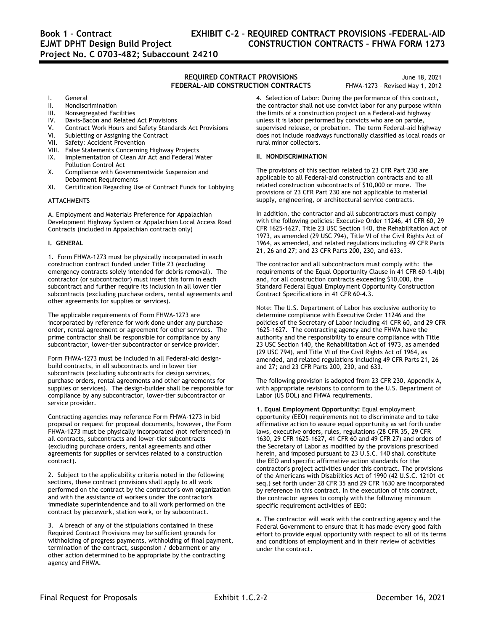## **REQUIRED CONTRACT PROVISIONS State of the USA CONTRACT PROVISIONS June 18, 2021 FEDERAL-AID CONSTRUCTION CONTRACTS** FHWA-1273 – Revised May 1, 2012

- I. General
- II. Nondiscrimination
- III. Nonsegregated Facilities<br>IV. Davis-Bacon and Related
- Davis-Bacon and Related Act Provisions
- V. Contract Work Hours and Safety Standards Act Provisions<br>VI. Subletting or Assigning the Contract<br>VII. Safety: Accident Prevention
- Subletting or Assigning the Contract
- Safety: Accident Prevention
- VIII. False Statements Concerning Highway Projects<br>IX. Implementation of Clean Air Act and Federal W
- Implementation of Clean Air Act and Federal Water Pollution Control Act
- X. Compliance with Governmentwide Suspension and Debarment Requirements
- XI. Certification Regarding Use of Contract Funds for Lobbying

#### **ATTACHMENTS**

A. Employment and Materials Preference for Appalachian Development Highway System or Appalachian Local Access Road Contracts (included in Appalachian contracts only)

#### **I. GENERAL**

1. Form FHWA-1273 must be physically incorporated in each construction contract funded under Title 23 (excluding emergency contracts solely intended for debris removal). The contractor (or subcontractor) must insert this form in each subcontract and further require its inclusion in all lower tier subcontracts (excluding purchase orders, rental agreements and other agreements for supplies or services).

The applicable requirements of Form FHWA-1273 are incorporated by reference for work done under any purchase order, rental agreement or agreement for other services. The prime contractor shall be responsible for compliance by any subcontractor, lower-tier subcontractor or service provider.

Form FHWA-1273 must be included in all Federal-aid designbuild contracts, in all subcontracts and in lower tier subcontracts (excluding subcontracts for design services, purchase orders, rental agreements and other agreements for supplies or services). The design-builder shall be responsible for compliance by any subcontractor, lower-tier subcontractor or service provider.

Contracting agencies may reference Form FHWA-1273 in bid proposal or request for proposal documents, however, the Form FHWA-1273 must be physically incorporated (not referenced) in all contracts, subcontracts and lower-tier subcontracts (excluding purchase orders, rental agreements and other agreements for supplies or services related to a construction contract).

2. Subject to the applicability criteria noted in the following sections, these contract provisions shall apply to all work performed on the contract by the contractor's own organization and with the assistance of workers under the contractor's immediate superintendence and to all work performed on the contract by piecework, station work, or by subcontract.

3. A breach of any of the stipulations contained in these Required Contract Provisions may be sufficient grounds for withholding of progress payments, withholding of final payment, termination of the contract, suspension / debarment or any other action determined to be appropriate by the contracting agency and FHWA.

4. Selection of Labor: During the performance of this contract, the contractor shall not use convict labor for any purpose within the limits of a construction project on a Federal-aid highway unless it is labor performed by convicts who are on parole, supervised release, or probation. The term Federal-aid highway does not include roadways functionally classified as local roads or rural minor collectors.

## **II. NONDISCRIMINATION**

The provisions of this section related to 23 CFR Part 230 are applicable to all Federal-aid construction contracts and to all related construction subcontracts of \$10,000 or more. The provisions of 23 CFR Part 230 are not applicable to material supply, engineering, or architectural service contracts.

In addition, the contractor and all subcontractors must comply with the following policies: Executive Order 11246, 41 CFR 60, 29 CFR 1625-1627, Title 23 USC Section 140, the Rehabilitation Act of 1973, as amended (29 USC 794), Title VI of the Civil Rights Act of 1964, as amended, and related regulations including 49 CFR Parts 21, 26 and 27; and 23 CFR Parts 200, 230, and 633.

The contractor and all subcontractors must comply with: the requirements of the Equal Opportunity Clause in 41 CFR 60-1.4(b) and, for all construction contracts exceeding \$10,000, the Standard Federal Equal Employment Opportunity Construction Contract Specifications in 41 CFR 60-4.3.

Note: The U.S. Department of Labor has exclusive authority to determine compliance with Executive Order 11246 and the policies of the Secretary of Labor including 41 CFR 60, and 29 CFR 1625-1627. The contracting agency and the FHWA have the authority and the responsibility to ensure compliance with Title 23 USC Section 140, the Rehabilitation Act of 1973, as amended (29 USC 794), and Title VI of the Civil Rights Act of 1964, as amended, and related regulations including 49 CFR Parts 21, 26 and 27; and 23 CFR Parts 200, 230, and 633.

The following provision is adopted from 23 CFR 230, Appendix A, with appropriate revisions to conform to the U.S. Department of Labor (US DOL) and FHWA requirements.

**1. Equal Employment Opportunity:** Equal employment opportunity (EEO) requirements not to discriminate and to take affirmative action to assure equal opportunity as set forth under laws, executive orders, rules, regulations (28 CFR 35, 29 CFR 1630, 29 CFR 1625-1627, 41 CFR 60 and 49 CFR 27) and orders of the Secretary of Labor as modified by the provisions prescribed herein, and imposed pursuant to 23 U.S.C. 140 shall constitute the EEO and specific affirmative action standards for the contractor's project activities under this contract. The provisions of the Americans with Disabilities Act of 1990 (42 U.S.C. 12101 et seq.) set forth under 28 CFR 35 and 29 CFR 1630 are incorporated by reference in this contract. In the execution of this contract, the contractor agrees to comply with the following minimum specific requirement activities of EEO:

a. The contractor will work with the contracting agency and the Federal Government to ensure that it has made every good faith effort to provide equal opportunity with respect to all of its terms and conditions of employment and in their review of activities under the contract.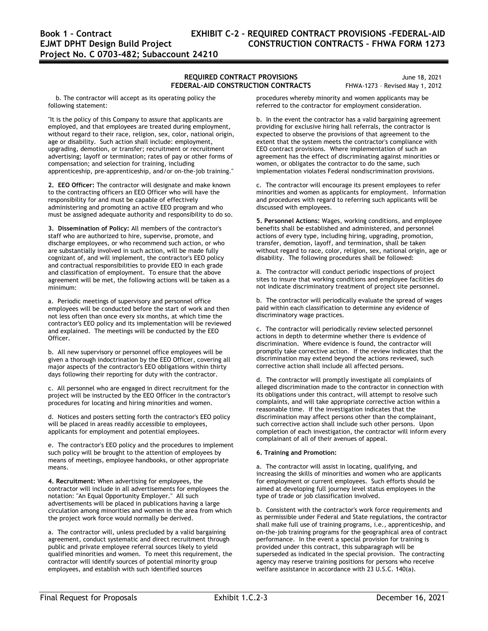b. The contractor will accept as its operating policy the following statement:

"It is the policy of this Company to assure that applicants are employed, and that employees are treated during employment, without regard to their race, religion, sex, color, national origin, age or disability. Such action shall include: employment, upgrading, demotion, or transfer; recruitment or recruitment advertising; layoff or termination; rates of pay or other forms of compensation; and selection for training, including apprenticeship, pre-apprenticeship, and/or on-the-job training."

**2. EEO Officer:** The contractor will designate and make known to the contracting officers an EEO Officer who will have the responsibility for and must be capable of effectively administering and promoting an active EEO program and who must be assigned adequate authority and responsibility to do so.

**3. Dissemination of Policy:** All members of the contractor's staff who are authorized to hire, supervise, promote, and discharge employees, or who recommend such action, or who are substantially involved in such action, will be made fully cognizant of, and will implement, the contractor's EEO policy and contractual responsibilities to provide EEO in each grade and classification of employment. To ensure that the above agreement will be met, the following actions will be taken as a minimum:

a. Periodic meetings of supervisory and personnel office employees will be conducted before the start of work and then not less often than once every six months, at which time the contractor's EEO policy and its implementation will be reviewed and explained. The meetings will be conducted by the EEO Officer.

b. All new supervisory or personnel office employees will be given a thorough indoctrination by the EEO Officer, covering all major aspects of the contractor's EEO obligations within thirty days following their reporting for duty with the contractor.

c. All personnel who are engaged in direct recruitment for the project will be instructed by the EEO Officer in the contractor's procedures for locating and hiring minorities and women.

d. Notices and posters setting forth the contractor's EEO policy will be placed in areas readily accessible to employees, applicants for employment and potential employees.

e. The contractor's EEO policy and the procedures to implement such policy will be brought to the attention of employees by means of meetings, employee handbooks, or other appropriate means.

**4. Recruitment:** When advertising for employees, the contractor will include in all advertisements for employees the notation: "An Equal Opportunity Employer." All such advertisements will be placed in publications having a large circulation among minorities and women in the area from which the project work force would normally be derived.

a. The contractor will, unless precluded by a valid bargaining agreement, conduct systematic and direct recruitment through public and private employee referral sources likely to yield qualified minorities and women. To meet this requirement, the contractor will identify sources of potential minority group employees, and establish with such identified sources

procedures whereby minority and women applicants may be referred to the contractor for employment consideration.

b. In the event the contractor has a valid bargaining agreement providing for exclusive hiring hall referrals, the contractor is expected to observe the provisions of that agreement to the extent that the system meets the contractor's compliance with EEO contract provisions. Where implementation of such an agreement has the effect of discriminating against minorities or women, or obligates the contractor to do the same, such implementation violates Federal nondiscrimination provisions.

c. The contractor will encourage its present employees to refer minorities and women as applicants for employment. Information and procedures with regard to referring such applicants will be discussed with employees.

**5. Personnel Actions:** Wages, working conditions, and employee benefits shall be established and administered, and personnel actions of every type, including hiring, upgrading, promotion, transfer, demotion, layoff, and termination, shall be taken without regard to race, color, religion, sex, national origin, age or disability. The following procedures shall be followed:

a. The contractor will conduct periodic inspections of project sites to insure that working conditions and employee facilities do not indicate discriminatory treatment of project site personnel.

b. The contractor will periodically evaluate the spread of wages paid within each classification to determine any evidence of discriminatory wage practices.

c. The contractor will periodically review selected personnel actions in depth to determine whether there is evidence of discrimination. Where evidence is found, the contractor will promptly take corrective action. If the review indicates that the discrimination may extend beyond the actions reviewed, such corrective action shall include all affected persons.

d. The contractor will promptly investigate all complaints of alleged discrimination made to the contractor in connection with its obligations under this contract, will attempt to resolve such complaints, and will take appropriate corrective action within a reasonable time. If the investigation indicates that the discrimination may affect persons other than the complainant, such corrective action shall include such other persons. Upon completion of each investigation, the contractor will inform every complainant of all of their avenues of appeal.

## **6. Training and Promotion:**

a. The contractor will assist in locating, qualifying, and increasing the skills of minorities and women who are applicants for employment or current employees. Such efforts should be aimed at developing full journey level status employees in the type of trade or job classification involved.

b. Consistent with the contractor's work force requirements and as permissible under Federal and State regulations, the contractor shall make full use of training programs, i.e., apprenticeship, and on-the-job training programs for the geographical area of contract performance. In the event a special provision for training is provided under this contract, this subparagraph will be superseded as indicated in the special provision. The contracting agency may reserve training positions for persons who receive welfare assistance in accordance with 23 U.S.C. 140(a).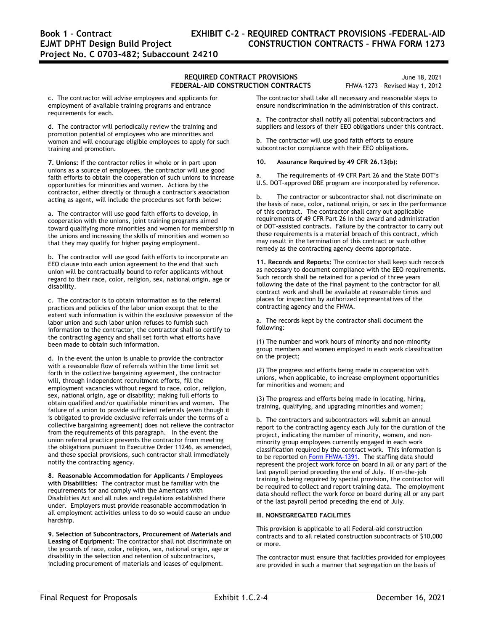## **REQUIRED CONTRACT PROVISIONS State of the USA CONTRACT PROVISIONS June 18, 2021 FEDERAL-AID CONSTRUCTION CONTRACTS** FHWA-1273 – Revised May 1, 2012

c. The contractor will advise employees and applicants for employment of available training programs and entrance requirements for each.

d. The contractor will periodically review the training and promotion potential of employees who are minorities and women and will encourage eligible employees to apply for such training and promotion.

**7. Unions:** If the contractor relies in whole or in part upon unions as a source of employees, the contractor will use good faith efforts to obtain the cooperation of such unions to increase opportunities for minorities and women. Actions by the contractor, either directly or through a contractor's association acting as agent, will include the procedures set forth below:

a. The contractor will use good faith efforts to develop, in cooperation with the unions, joint training programs aimed toward qualifying more minorities and women for membership in the unions and increasing the skills of minorities and women so that they may qualify for higher paying employment.

b. The contractor will use good faith efforts to incorporate an EEO clause into each union agreement to the end that such union will be contractually bound to refer applicants without regard to their race, color, religion, sex, national origin, age or disability.

c. The contractor is to obtain information as to the referral practices and policies of the labor union except that to the extent such information is within the exclusive possession of the labor union and such labor union refuses to furnish such information to the contractor, the contractor shall so certify to the contracting agency and shall set forth what efforts have been made to obtain such information.

d. In the event the union is unable to provide the contractor with a reasonable flow of referrals within the time limit set forth in the collective bargaining agreement, the contractor will, through independent recruitment efforts, fill the employment vacancies without regard to race, color, religion, sex, national origin, age or disability; making full efforts to obtain qualified and/or qualifiable minorities and women. The failure of a union to provide sufficient referrals (even though it is obligated to provide exclusive referrals under the terms of a collective bargaining agreement) does not relieve the contractor from the requirements of this paragraph. In the event the union referral practice prevents the contractor from meeting the obligations pursuant to Executive Order 11246, as amended, and these special provisions, such contractor shall immediately notify the contracting agency.

**8. Reasonable Accommodation for Applicants / Employees with Disabilities:** The contractor must be familiar with the requirements for and comply with the Americans with Disabilities Act and all rules and regulations established there under. Employers must provide reasonable accommodation in all employment activities unless to do so would cause an undue hardship.

**9. Selection of Subcontractors, Procurement of Materials and Leasing of Equipment:** The contractor shall not discriminate on the grounds of race, color, religion, sex, national origin, age or disability in the selection and retention of subcontractors, including procurement of materials and leases of equipment.

The contractor shall take all necessary and reasonable steps to ensure nondiscrimination in the administration of this contract.

a. The contractor shall notify all potential subcontractors and suppliers and lessors of their EEO obligations under this contract.

b. The contractor will use good faith efforts to ensure subcontractor compliance with their EEO obligations.

## **10. Assurance Required by 49 CFR 26.13(b):**

a. The requirements of 49 CFR Part 26 and the State DOT's U.S. DOT-approved DBE program are incorporated by reference.

b. The contractor or subcontractor shall not discriminate on the basis of race, color, national origin, or sex in the performance of this contract. The contractor shall carry out applicable requirements of 49 CFR Part 26 in the award and administration of DOT-assisted contracts. Failure by the contractor to carry out these requirements is a material breach of this contract, which may result in the termination of this contract or such other remedy as the contracting agency deems appropriate.

**11. Records and Reports:** The contractor shall keep such records as necessary to document compliance with the EEO requirements. Such records shall be retained for a period of three years following the date of the final payment to the contractor for all contract work and shall be available at reasonable times and places for inspection by authorized representatives of the contracting agency and the FHWA.

a. The records kept by the contractor shall document the following:

(1) The number and work hours of minority and non-minority group members and women employed in each work classification on the project;

(2) The progress and efforts being made in cooperation with unions, when applicable, to increase employment opportunities for minorities and women; and

(3) The progress and efforts being made in locating, hiring, training, qualifying, and upgrading minorities and women;

b. The contractors and subcontractors will submit an annual report to the contracting agency each July for the duration of the project, indicating the number of minority, women, and nonminority group employees currently engaged in each work classification required by the contract work. This information is to be reported on Form FHWA-1391. The staffing data should represent the project work force on board in all or any part of the last payroll period preceding the end of July. If on-the-job training is being required by special provision, the contractor will be required to collect and report training data. The employment data should reflect the work force on board during all or any part of the last payroll period preceding the end of July.

## **III. NONSEGREGATED FACILITIES**

This provision is applicable to all Federal-aid construction contracts and to all related construction subcontracts of \$10,000 or more.

The contractor must ensure that facilities provided for employees are provided in such a manner that segregation on the basis of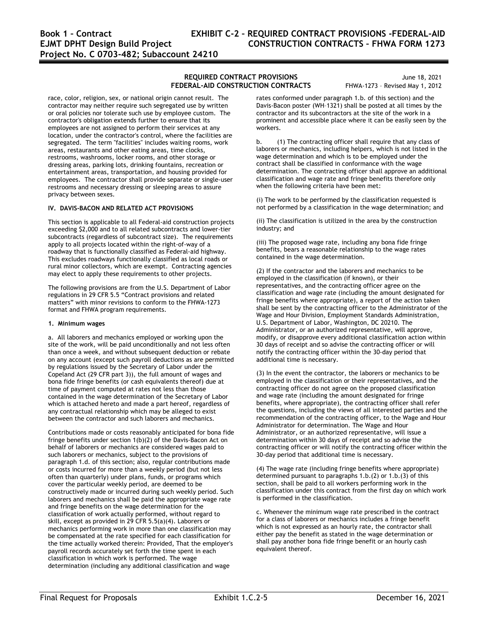race, color, religion, sex, or national origin cannot result. The contractor may neither require such segregated use by written or oral policies nor tolerate such use by employee custom. The contractor's obligation extends further to ensure that its employees are not assigned to perform their services at any location, under the contractor's control, where the facilities are segregated. The term "facilities" includes waiting rooms, work areas, restaurants and other eating areas, time clocks, restrooms, washrooms, locker rooms, and other storage or dressing areas, parking lots, drinking fountains, recreation or entertainment areas, transportation, and housing provided for employees. The contractor shall provide separate or single-user restrooms and necessary dressing or sleeping areas to assure privacy between sexes.

## **IV. DAVIS-BACON AND RELATED ACT PROVISIONS**

This section is applicable to all Federal-aid construction projects exceeding \$2,000 and to all related subcontracts and lower-tier subcontracts (regardless of subcontract size). The requirements apply to all projects located within the right-of-way of a roadway that is functionally classified as Federal-aid highway. This excludes roadways functionally classified as local roads or rural minor collectors, which are exempt. Contracting agencies may elect to apply these requirements to other projects.

The following provisions are from the U.S. Department of Labor regulations in 29 CFR 5.5 "Contract provisions and related matters" with minor revisions to conform to the FHWA-1273 format and FHWA program requirements.

## **1. Minimum wages**

a. All laborers and mechanics employed or working upon the site of the work, will be paid unconditionally and not less often than once a week, and without subsequent deduction or rebate on any account (except such payroll deductions as are permitted by regulations issued by the Secretary of Labor under the Copeland Act (29 CFR part 3)), the full amount of wages and bona fide fringe benefits (or cash equivalents thereof) due at time of payment computed at rates not less than those contained in the wage determination of the Secretary of Labor which is attached hereto and made a part hereof, regardless of any contractual relationship which may be alleged to exist between the contractor and such laborers and mechanics.

Contributions made or costs reasonably anticipated for bona fide fringe benefits under section 1(b)(2) of the Davis-Bacon Act on behalf of laborers or mechanics are considered wages paid to such laborers or mechanics, subject to the provisions of paragraph 1.d. of this section; also, regular contributions made or costs incurred for more than a weekly period (but not less often than quarterly) under plans, funds, or programs which cover the particular weekly period, are deemed to be constructively made or incurred during such weekly period. Such laborers and mechanics shall be paid the appropriate wage rate and fringe benefits on the wage determination for the classification of work actually performed, without regard to skill, except as provided in 29 CFR 5.5(a)(4). Laborers or mechanics performing work in more than one classification may be compensated at the rate specified for each classification for the time actually worked therein: Provided, That the employer's payroll records accurately set forth the time spent in each classification in which work is performed. The wage determination (including any additional classification and wage

rates conformed under paragraph 1.b. of this section) and the Davis-Bacon poster (WH–1321) shall be posted at all times by the contractor and its subcontractors at the site of the work in a prominent and accessible place where it can be easily seen by the workers.

b. (1) The contracting officer shall require that any class of laborers or mechanics, including helpers, which is not listed in the wage determination and which is to be employed under the contract shall be classified in conformance with the wage determination. The contracting officer shall approve an additional classification and wage rate and fringe benefits therefore only when the following criteria have been met:

(i) The work to be performed by the classification requested is not performed by a classification in the wage determination; and

(ii) The classification is utilized in the area by the construction industry; and

(iii) The proposed wage rate, including any bona fide fringe benefits, bears a reasonable relationship to the wage rates contained in the wage determination.

(2) If the contractor and the laborers and mechanics to be employed in the classification (if known), or their representatives, and the contracting officer agree on the classification and wage rate (including the amount designated for fringe benefits where appropriate), a report of the action taken shall be sent by the contracting officer to the Administrator of the Wage and Hour Division, Employment Standards Administration, U.S. Department of Labor, Washington, DC 20210. The Administrator, or an authorized representative, will approve, modify, or disapprove every additional classification action within 30 days of receipt and so advise the contracting officer or will notify the contracting officer within the 30-day period that additional time is necessary.

(3) In the event the contractor, the laborers or mechanics to be employed in the classification or their representatives, and the contracting officer do not agree on the proposed classification and wage rate (including the amount designated for fringe benefits, where appropriate), the contracting officer shall refer the questions, including the views of all interested parties and the recommendation of the contracting officer, to the Wage and Hour Administrator for determination. The Wage and Hour Administrator, or an authorized representative, will issue a determination within 30 days of receipt and so advise the contracting officer or will notify the contracting officer within the 30-day period that additional time is necessary.

(4) The wage rate (including fringe benefits where appropriate) determined pursuant to paragraphs 1.b.(2) or 1.b.(3) of this section, shall be paid to all workers performing work in the classification under this contract from the first day on which work is performed in the classification.

c. Whenever the minimum wage rate prescribed in the contract for a class of laborers or mechanics includes a fringe benefit which is not expressed as an hourly rate, the contractor shall either pay the benefit as stated in the wage determination or shall pay another bona fide fringe benefit or an hourly cash equivalent thereof.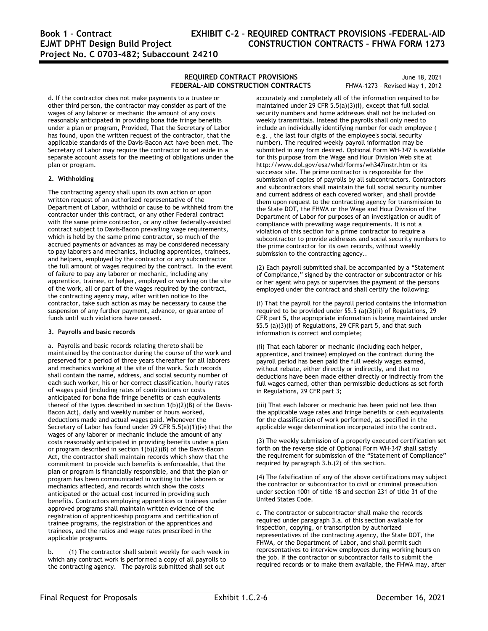d. If the contractor does not make payments to a trustee or other third person, the contractor may consider as part of the wages of any laborer or mechanic the amount of any costs reasonably anticipated in providing bona fide fringe benefits under a plan or program, Provided, That the Secretary of Labor has found, upon the written request of the contractor, that the applicable standards of the Davis-Bacon Act have been met. The Secretary of Labor may require the contractor to set aside in a separate account assets for the meeting of obligations under the plan or program.

## **2. Withholding**

The contracting agency shall upon its own action or upon written request of an authorized representative of the Department of Labor, withhold or cause to be withheld from the contractor under this contract, or any other Federal contract with the same prime contractor, or any other federally-assisted contract subject to Davis-Bacon prevailing wage requirements, which is held by the same prime contractor, so much of the accrued payments or advances as may be considered necessary to pay laborers and mechanics, including apprentices, trainees, and helpers, employed by the contractor or any subcontractor the full amount of wages required by the contract. In the event of failure to pay any laborer or mechanic, including any apprentice, trainee, or helper, employed or working on the site of the work, all or part of the wages required by the contract, the contracting agency may, after written notice to the contractor, take such action as may be necessary to cause the suspension of any further payment, advance, or guarantee of funds until such violations have ceased.

#### **3. Payrolls and basic records**

a. Payrolls and basic records relating thereto shall be maintained by the contractor during the course of the work and preserved for a period of three years thereafter for all laborers and mechanics working at the site of the work. Such records shall contain the name, address, and social security number of each such worker, his or her correct classification, hourly rates of wages paid (including rates of contributions or costs anticipated for bona fide fringe benefits or cash equivalents thereof of the types described in section  $1(b)(2)(B)$  of the Davis-Bacon Act), daily and weekly number of hours worked, deductions made and actual wages paid. Whenever the Secretary of Labor has found under 29 CFR 5.5(a)(1)(iv) that the wages of any laborer or mechanic include the amount of any costs reasonably anticipated in providing benefits under a plan or program described in section 1(b)(2)(B) of the Davis-Bacon Act, the contractor shall maintain records which show that the commitment to provide such benefits is enforceable, that the plan or program is financially responsible, and that the plan or program has been communicated in writing to the laborers or mechanics affected, and records which show the costs anticipated or the actual cost incurred in providing such benefits. Contractors employing apprentices or trainees under approved programs shall maintain written evidence of the registration of apprenticeship programs and certification of trainee programs, the registration of the apprentices and trainees, and the ratios and wage rates prescribed in the applicable programs.

b. (1) The contractor shall submit weekly for each week in which any contract work is performed a copy of all payrolls to the contracting agency. The payrolls submitted shall set out

accurately and completely all of the information required to be maintained under 29 CFR 5.5(a)(3)(i), except that full social security numbers and home addresses shall not be included on weekly transmittals. Instead the payrolls shall only need to include an individually identifying number for each employee ( e.g. , the last four digits of the employee's social security number). The required weekly payroll information may be submitted in any form desired. Optional Form WH–347 is available for this purpose from the Wage and Hour Division Web site at http://www.dol.gov/esa/whd/forms/wh347instr.htm or its successor site. The prime contractor is responsible for the submission of copies of payrolls by all subcontractors. Contractors and subcontractors shall maintain the full social security number and current address of each covered worker, and shall provide them upon request to the contracting agency for transmission to the State DOT, the FHWA or the Wage and Hour Division of the Department of Labor for purposes of an investigation or audit of compliance with prevailing wage requirements. It is not a violation of this section for a prime contractor to require a subcontractor to provide addresses and social security numbers to the prime contractor for its own records, without weekly submission to the contracting agency..

(2) Each payroll submitted shall be accompanied by a "Statement of Compliance," signed by the contractor or subcontractor or his or her agent who pays or supervises the payment of the persons employed under the contract and shall certify the following:

(i) That the payroll for the payroll period contains the information required to be provided under §5.5 (a)(3)(ii) of Regulations, 29 CFR part 5, the appropriate information is being maintained under §5.5 (a)(3)(i) of Regulations, 29 CFR part 5, and that such information is correct and complete;

(ii) That each laborer or mechanic (including each helper, apprentice, and trainee) employed on the contract during the payroll period has been paid the full weekly wages earned, without rebate, either directly or indirectly, and that no deductions have been made either directly or indirectly from the full wages earned, other than permissible deductions as set forth in Regulations, 29 CFR part 3;

(iii) That each laborer or mechanic has been paid not less than the applicable wage rates and fringe benefits or cash equivalents for the classification of work performed, as specified in the applicable wage determination incorporated into the contract.

(3) The weekly submission of a properly executed certification set forth on the reverse side of Optional Form WH–347 shall satisfy the requirement for submission of the "Statement of Compliance" required by paragraph 3.b.(2) of this section.

(4) The falsification of any of the above certifications may subject the contractor or subcontractor to civil or criminal prosecution under section 1001 of title 18 and section 231 of title 31 of the United States Code.

c. The contractor or subcontractor shall make the records required under paragraph 3.a. of this section available for inspection, copying, or transcription by authorized representatives of the contracting agency, the State DOT, the FHWA, or the Department of Labor, and shall permit such representatives to interview employees during working hours on the job. If the contractor or subcontractor fails to submit the required records or to make them available, the FHWA may, after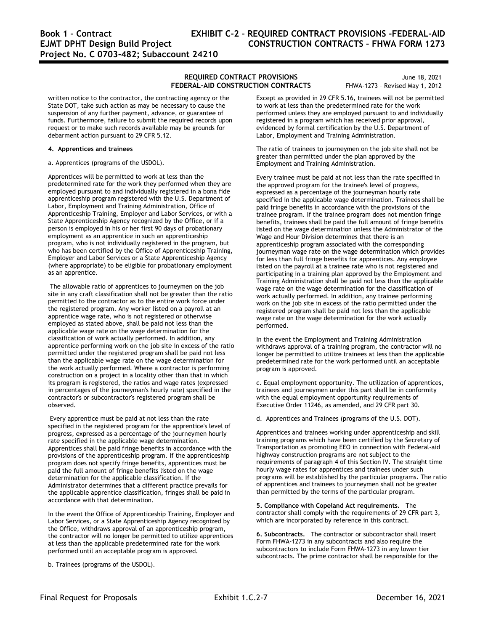## **REQUIRED CONTRACT PROVISIONS State of the USA CONTRACT PROVISIONS June 18, 2021 FEDERAL-AID CONSTRUCTION CONTRACTS** FHWA-1273 – Revised May 1, 2012

written notice to the contractor, the contracting agency or the State DOT, take such action as may be necessary to cause the suspension of any further payment, advance, or guarantee of funds. Furthermore, failure to submit the required records upon request or to make such records available may be grounds for debarment action pursuant to 29 CFR 5.12.

#### **4. Apprentices and trainees**

a. Apprentices (programs of the USDOL).

Apprentices will be permitted to work at less than the predetermined rate for the work they performed when they are employed pursuant to and individually registered in a bona fide apprenticeship program registered with the U.S. Department of Labor, Employment and Training Administration, Office of Apprenticeship Training, Employer and Labor Services, or with a State Apprenticeship Agency recognized by the Office, or if a person is employed in his or her first 90 days of probationary employment as an apprentice in such an apprenticeship program, who is not individually registered in the program, but who has been certified by the Office of Apprenticeship Training, Employer and Labor Services or a State Apprenticeship Agency (where appropriate) to be eligible for probationary employment as an apprentice.

 The allowable ratio of apprentices to journeymen on the job site in any craft classification shall not be greater than the ratio permitted to the contractor as to the entire work force under the registered program. Any worker listed on a payroll at an apprentice wage rate, who is not registered or otherwise employed as stated above, shall be paid not less than the applicable wage rate on the wage determination for the classification of work actually performed. In addition, any apprentice performing work on the job site in excess of the ratio permitted under the registered program shall be paid not less than the applicable wage rate on the wage determination for the work actually performed. Where a contractor is performing construction on a project in a locality other than that in which its program is registered, the ratios and wage rates (expressed in percentages of the journeyman's hourly rate) specified in the contractor's or subcontractor's registered program shall be observed.

 Every apprentice must be paid at not less than the rate specified in the registered program for the apprentice's level of progress, expressed as a percentage of the journeymen hourly rate specified in the applicable wage determination. Apprentices shall be paid fringe benefits in accordance with the provisions of the apprenticeship program. If the apprenticeship program does not specify fringe benefits, apprentices must be paid the full amount of fringe benefits listed on the wage determination for the applicable classification. If the Administrator determines that a different practice prevails for the applicable apprentice classification, fringes shall be paid in accordance with that determination.

In the event the Office of Apprenticeship Training, Employer and Labor Services, or a State Apprenticeship Agency recognized by the Office, withdraws approval of an apprenticeship program, the contractor will no longer be permitted to utilize apprentices at less than the applicable predetermined rate for the work performed until an acceptable program is approved.

b. Trainees (programs of the USDOL).

Except as provided in 29 CFR 5.16, trainees will not be permitted to work at less than the predetermined rate for the work performed unless they are employed pursuant to and individually registered in a program which has received prior approval, evidenced by formal certification by the U.S. Department of Labor, Employment and Training Administration.

The ratio of trainees to journeymen on the job site shall not be greater than permitted under the plan approved by the Employment and Training Administration.

Every trainee must be paid at not less than the rate specified in the approved program for the trainee's level of progress, expressed as a percentage of the journeyman hourly rate specified in the applicable wage determination. Trainees shall be paid fringe benefits in accordance with the provisions of the trainee program. If the trainee program does not mention fringe benefits, trainees shall be paid the full amount of fringe benefits listed on the wage determination unless the Administrator of the Wage and Hour Division determines that there is an apprenticeship program associated with the corresponding journeyman wage rate on the wage determination which provides for less than full fringe benefits for apprentices. Any employee listed on the payroll at a trainee rate who is not registered and participating in a training plan approved by the Employment and Training Administration shall be paid not less than the applicable wage rate on the wage determination for the classification of work actually performed. In addition, any trainee performing work on the job site in excess of the ratio permitted under the registered program shall be paid not less than the applicable wage rate on the wage determination for the work actually performed.

In the event the Employment and Training Administration withdraws approval of a training program, the contractor will no longer be permitted to utilize trainees at less than the applicable predetermined rate for the work performed until an acceptable program is approved.

c. Equal employment opportunity. The utilization of apprentices, trainees and journeymen under this part shall be in conformity with the equal employment opportunity requirements of Executive Order 11246, as amended, and 29 CFR part 30.

d. Apprentices and Trainees (programs of the U.S. DOT).

Apprentices and trainees working under apprenticeship and skill training programs which have been certified by the Secretary of Transportation as promoting EEO in connection with Federal-aid highway construction programs are not subject to the requirements of paragraph 4 of this Section IV. The straight time hourly wage rates for apprentices and trainees under such programs will be established by the particular programs. The ratio of apprentices and trainees to journeymen shall not be greater than permitted by the terms of the particular program.

**5. Compliance with Copeland Act requirements.** The contractor shall comply with the requirements of 29 CFR part 3, which are incorporated by reference in this contract.

**6. Subcontracts.** The contractor or subcontractor shall insert Form FHWA-1273 in any subcontracts and also require the subcontractors to include Form FHWA-1273 in any lower tier subcontracts. The prime contractor shall be responsible for the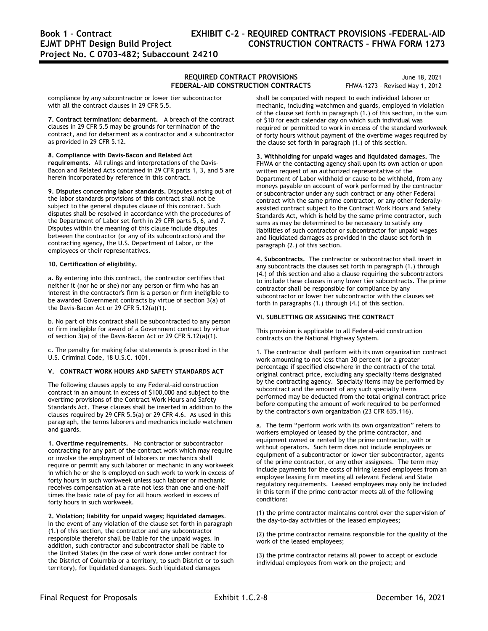compliance by any subcontractor or lower tier subcontractor with all the contract clauses in 29 CFR 5.5.

**7. Contract termination: debarment.** A breach of the contract clauses in 29 CFR 5.5 may be grounds for termination of the contract, and for debarment as a contractor and a subcontractor as provided in 29 CFR 5.12.

**8. Compliance with Davis-Bacon and Related Act requirements.** All rulings and interpretations of the Davis-Bacon and Related Acts contained in 29 CFR parts 1, 3, and 5 are herein incorporated by reference in this contract.

**9. Disputes concerning labor standards.** Disputes arising out of the labor standards provisions of this contract shall not be subject to the general disputes clause of this contract. Such disputes shall be resolved in accordance with the procedures of the Department of Labor set forth in 29 CFR parts 5, 6, and 7. Disputes within the meaning of this clause include disputes between the contractor (or any of its subcontractors) and the contracting agency, the U.S. Department of Labor, or the employees or their representatives.

## **10. Certification of eligibility.**

a. By entering into this contract, the contractor certifies that neither it (nor he or she) nor any person or firm who has an interest in the contractor's firm is a person or firm ineligible to be awarded Government contracts by virtue of section 3(a) of the Davis-Bacon Act or 29 CFR 5.12(a)(1).

b. No part of this contract shall be subcontracted to any person or firm ineligible for award of a Government contract by virtue of section  $3(a)$  of the Davis-Bacon Act or 29 CFR 5.12(a)(1).

c. The penalty for making false statements is prescribed in the U.S. Criminal Code, 18 U.S.C. 1001.

## **V. CONTRACT WORK HOURS AND SAFETY STANDARDS ACT**

The following clauses apply to any Federal-aid construction contract in an amount in excess of \$100,000 and subject to the overtime provisions of the Contract Work Hours and Safety Standards Act. These clauses shall be inserted in addition to the clauses required by 29 CFR 5.5(a) or 29 CFR 4.6. As used in this paragraph, the terms laborers and mechanics include watchmen and guards.

**1. Overtime requirements.** No contractor or subcontractor contracting for any part of the contract work which may require or involve the employment of laborers or mechanics shall require or permit any such laborer or mechanic in any workweek in which he or she is employed on such work to work in excess of forty hours in such workweek unless such laborer or mechanic receives compensation at a rate not less than one and one-half times the basic rate of pay for all hours worked in excess of forty hours in such workweek.

**2. Violation; liability for unpaid wages; liquidated damages**. In the event of any violation of the clause set forth in paragraph (1.) of this section, the contractor and any subcontractor responsible therefor shall be liable for the unpaid wages. In addition, such contractor and subcontractor shall be liable to the United States (in the case of work done under contract for the District of Columbia or a territory, to such District or to such territory), for liquidated damages. Such liquidated damages

shall be computed with respect to each individual laborer or mechanic, including watchmen and guards, employed in violation of the clause set forth in paragraph (1.) of this section, in the sum of \$10 for each calendar day on which such individual was required or permitted to work in excess of the standard workweek of forty hours without payment of the overtime wages required by the clause set forth in paragraph (1.) of this section.

**3. Withholding for unpaid wages and liquidated damages.** The FHWA or the contacting agency shall upon its own action or upon written request of an authorized representative of the Department of Labor withhold or cause to be withheld, from any moneys payable on account of work performed by the contractor or subcontractor under any such contract or any other Federal contract with the same prime contractor, or any other federallyassisted contract subject to the Contract Work Hours and Safety Standards Act, which is held by the same prime contractor, such sums as may be determined to be necessary to satisfy any liabilities of such contractor or subcontractor for unpaid wages and liquidated damages as provided in the clause set forth in paragraph (2.) of this section.

**4. Subcontracts.** The contractor or subcontractor shall insert in any subcontracts the clauses set forth in paragraph (1.) through (4.) of this section and also a clause requiring the subcontractors to include these clauses in any lower tier subcontracts. The prime contractor shall be responsible for compliance by any subcontractor or lower tier subcontractor with the clauses set forth in paragraphs (1.) through (4.) of this section.

#### **VI. SUBLETTING OR ASSIGNING THE CONTRACT**

This provision is applicable to all Federal-aid construction contracts on the National Highway System.

1. The contractor shall perform with its own organization contract work amounting to not less than 30 percent (or a greater percentage if specified elsewhere in the contract) of the total original contract price, excluding any specialty items designated by the contracting agency. Specialty items may be performed by subcontract and the amount of any such specialty items performed may be deducted from the total original contract price before computing the amount of work required to be performed by the contractor's own organization (23 CFR 635.116).

a. The term "perform work with its own organization" refers to workers employed or leased by the prime contractor, and equipment owned or rented by the prime contractor, with or without operators. Such term does not include employees or equipment of a subcontractor or lower tier subcontractor, agents of the prime contractor, or any other assignees. The term may include payments for the costs of hiring leased employees from an employee leasing firm meeting all relevant Federal and State regulatory requirements. Leased employees may only be included in this term if the prime contractor meets all of the following conditions:

(1) the prime contractor maintains control over the supervision of the day-to-day activities of the leased employees;

(2) the prime contractor remains responsible for the quality of the work of the leased employees;

(3) the prime contractor retains all power to accept or exclude individual employees from work on the project; and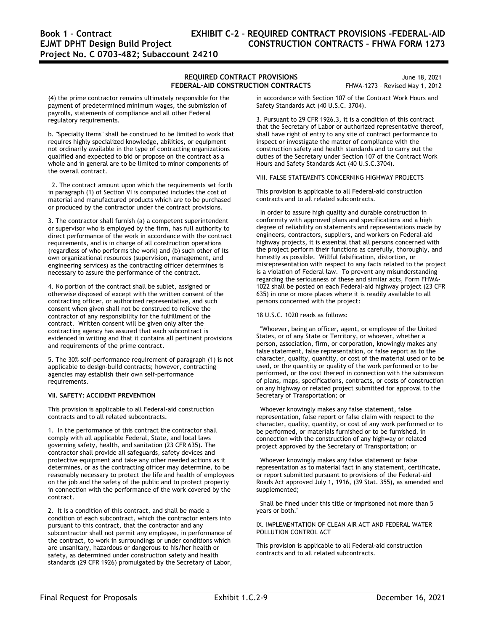## **REQUIRED CONTRACT PROVISIONS State of the USA CONTRACT PROVISIONS June 18, 2021 FEDERAL-AID CONSTRUCTION CONTRACTS** FHWA-1273 – Revised May 1, 2012

(4) the prime contractor remains ultimately responsible for the payment of predetermined minimum wages, the submission of payrolls, statements of compliance and all other Federal regulatory requirements.

b. "Specialty Items" shall be construed to be limited to work that requires highly specialized knowledge, abilities, or equipment not ordinarily available in the type of contracting organizations qualified and expected to bid or propose on the contract as a whole and in general are to be limited to minor components of the overall contract.

 2. The contract amount upon which the requirements set forth in paragraph (1) of Section VI is computed includes the cost of material and manufactured products which are to be purchased or produced by the contractor under the contract provisions.

3. The contractor shall furnish (a) a competent superintendent or supervisor who is employed by the firm, has full authority to direct performance of the work in accordance with the contract requirements, and is in charge of all construction operations (regardless of who performs the work) and (b) such other of its own organizational resources (supervision, management, and engineering services) as the contracting officer determines is necessary to assure the performance of the contract.

4. No portion of the contract shall be sublet, assigned or otherwise disposed of except with the written consent of the contracting officer, or authorized representative, and such consent when given shall not be construed to relieve the contractor of any responsibility for the fulfillment of the contract. Written consent will be given only after the contracting agency has assured that each subcontract is evidenced in writing and that it contains all pertinent provisions and requirements of the prime contract.

5. The 30% self-performance requirement of paragraph (1) is not applicable to design-build contracts; however, contracting agencies may establish their own self-performance requirements.

## **VII. SAFETY: ACCIDENT PREVENTION**

This provision is applicable to all Federal-aid construction contracts and to all related subcontracts.

1. In the performance of this contract the contractor shall comply with all applicable Federal, State, and local laws governing safety, health, and sanitation (23 CFR 635). The contractor shall provide all safeguards, safety devices and protective equipment and take any other needed actions as it determines, or as the contracting officer may determine, to be reasonably necessary to protect the life and health of employees on the job and the safety of the public and to protect property in connection with the performance of the work covered by the contract.

2. It is a condition of this contract, and shall be made a condition of each subcontract, which the contractor enters into pursuant to this contract, that the contractor and any subcontractor shall not permit any employee, in performance of the contract, to work in surroundings or under conditions which are unsanitary, hazardous or dangerous to his/her health or safety, as determined under construction safety and health standards (29 CFR 1926) promulgated by the Secretary of Labor,

in accordance with Section 107 of the Contract Work Hours and Safety Standards Act (40 U.S.C. 3704).

3. Pursuant to 29 CFR 1926.3, it is a condition of this contract that the Secretary of Labor or authorized representative thereof, shall have right of entry to any site of contract performance to inspect or investigate the matter of compliance with the construction safety and health standards and to carry out the duties of the Secretary under Section 107 of the Contract Work Hours and Safety Standards Act (40 U.S.C.3704).

## VIII. FALSE STATEMENTS CONCERNING HIGHWAY PROJECTS

This provision is applicable to all Federal-aid construction contracts and to all related subcontracts.

 In order to assure high quality and durable construction in conformity with approved plans and specifications and a high degree of reliability on statements and representations made by engineers, contractors, suppliers, and workers on Federal-aid highway projects, it is essential that all persons concerned with the project perform their functions as carefully, thoroughly, and honestly as possible. Willful falsification, distortion, or misrepresentation with respect to any facts related to the project is a violation of Federal law. To prevent any misunderstanding regarding the seriousness of these and similar acts, Form FHWA-1022 shall be posted on each Federal-aid highway project (23 CFR 635) in one or more places where it is readily available to all persons concerned with the project:

#### 18 U.S.C. 1020 reads as follows:

 "Whoever, being an officer, agent, or employee of the United States, or of any State or Territory, or whoever, whether a person, association, firm, or corporation, knowingly makes any false statement, false representation, or false report as to the character, quality, quantity, or cost of the material used or to be used, or the quantity or quality of the work performed or to be performed, or the cost thereof in connection with the submission of plans, maps, specifications, contracts, or costs of construction on any highway or related project submitted for approval to the Secretary of Transportation; or

 Whoever knowingly makes any false statement, false representation, false report or false claim with respect to the character, quality, quantity, or cost of any work performed or to be performed, or materials furnished or to be furnished, in connection with the construction of any highway or related project approved by the Secretary of Transportation; or

 Whoever knowingly makes any false statement or false representation as to material fact in any statement, certificate, or report submitted pursuant to provisions of the Federal-aid Roads Act approved July 1, 1916, (39 Stat. 355), as amended and supplemented;

 Shall be fined under this title or imprisoned not more than 5 years or both."

IX. IMPLEMENTATION OF CLEAN AIR ACT AND FEDERAL WATER POLLUTION CONTROL ACT

This provision is applicable to all Federal-aid construction contracts and to all related subcontracts.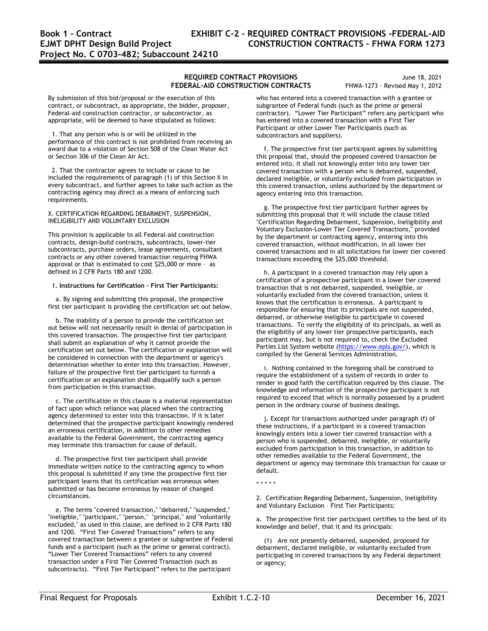By submission of this bid/proposal or the execution of this contract, or subcontract, as appropriate, the bidder, proposer, Federal-aid construction contractor, or subcontractor, as appropriate, will be deemed to have stipulated as follows:

 1. That any person who is or will be utilized in the performance of this contract is not prohibited from receiving an award due to a violation of Section 508 of the Clean Water Act or Section 306 of the Clean Air Act.

 2. That the contractor agrees to include or cause to be included the requirements of paragraph (1) of this Section X in every subcontract, and further agrees to take such action as the contracting agency may direct as a means of enforcing such requirements.

#### X. CERTIFICATION REGARDING DEBARMENT, SUSPENSION, INELIGIBILITY AND VOLUNTARY EXCLUSION

This provision is applicable to all Federal-aid construction contracts, design-build contracts, subcontracts, lower-tier subcontracts, purchase orders, lease agreements, consultant contracts or any other covered transaction requiring FHWA approval or that is estimated to cost \$25,000 or more – as defined in 2 CFR Parts 180 and 1200.

## 1**. Instructions for Certification – First Tier Participants:**

 a. By signing and submitting this proposal, the prospective first tier participant is providing the certification set out below.

 b. The inability of a person to provide the certification set out below will not necessarily result in denial of participation in this covered transaction. The prospective first tier participant shall submit an explanation of why it cannot provide the certification set out below. The certification or explanation will be considered in connection with the department or agency's determination whether to enter into this transaction. However, failure of the prospective first tier participant to furnish a certification or an explanation shall disqualify such a person from participation in this transaction.

 c. The certification in this clause is a material representation of fact upon which reliance was placed when the contracting agency determined to enter into this transaction. If it is later determined that the prospective participant knowingly rendered an erroneous certification, in addition to other remedies available to the Federal Government, the contracting agency may terminate this transaction for cause of default.

 d. The prospective first tier participant shall provide immediate written notice to the contracting agency to whom this proposal is submitted if any time the prospective first tier participant learns that its certification was erroneous when submitted or has become erroneous by reason of changed circumstances.

 e. The terms "covered transaction," "debarred," "suspended," "ineligible," "participant," "person," "principal," and "voluntarily excluded," as used in this clause, are defined in 2 CFR Parts 180 and 1200. "First Tier Covered Transactions" refers to any covered transaction between a grantee or subgrantee of Federal funds and a participant (such as the prime or general contract). "Lower Tier Covered Transactions" refers to any covered transaction under a First Tier Covered Transaction (such as subcontracts). "First Tier Participant" refers to the participant

who has entered into a covered transaction with a grantee or subgrantee of Federal funds (such as the prime or general contractor). "Lower Tier Participant" refers any participant who has entered into a covered transaction with a First Tier Participant or other Lower Tier Participants (such as subcontractors and suppliers).

 f. The prospective first tier participant agrees by submitting this proposal that, should the proposed covered transaction be entered into, it shall not knowingly enter into any lower tier covered transaction with a person who is debarred, suspended, declared ineligible, or voluntarily excluded from participation in this covered transaction, unless authorized by the department or agency entering into this transaction.

 g. The prospective first tier participant further agrees by submitting this proposal that it will include the clause titled "Certification Regarding Debarment, Suspension, Ineligibility and Voluntary Exclusion-Lower Tier Covered Transactions," provided by the department or contracting agency, entering into this covered transaction, without modification, in all lower tier covered transactions and in all solicitations for lower tier covered transactions exceeding the \$25,000 threshold.

 h. A participant in a covered transaction may rely upon a certification of a prospective participant in a lower tier covered transaction that is not debarred, suspended, ineligible, or voluntarily excluded from the covered transaction, unless it knows that the certification is erroneous. A participant is responsible for ensuring that its principals are not suspended, debarred, or otherwise ineligible to participate in covered transactions. To verify the eligibility of its principals, as well as the eligibility of any lower tier prospective participants, each participant may, but is not required to, check the Excluded Parties List System website (https://www.epls.gov/), which is compiled by the General Services Administration.

 i. Nothing contained in the foregoing shall be construed to require the establishment of a system of records in order to render in good faith the certification required by this clause. The knowledge and information of the prospective participant is not required to exceed that which is normally possessed by a prudent person in the ordinary course of business dealings.

 j. Except for transactions authorized under paragraph (f) of these instructions, if a participant in a covered transaction knowingly enters into a lower tier covered transaction with a person who is suspended, debarred, ineligible, or voluntarily excluded from participation in this transaction, in addition to other remedies available to the Federal Government, the department or agency may terminate this transaction for cause or default.

\* \* \* \* \*

2. Certification Regarding Debarment, Suspension, Ineligibility and Voluntary Exclusion – First Tier Participants:

a. The prospective first tier participant certifies to the best of its knowledge and belief, that it and its principals:

 (1) Are not presently debarred, suspended, proposed for debarment, declared ineligible, or voluntarily excluded from participating in covered transactions by any Federal department or agency;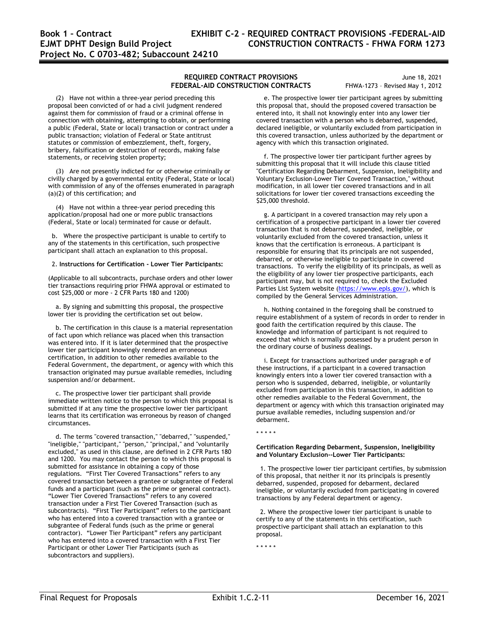(2) Have not within a three-year period preceding this proposal been convicted of or had a civil judgment rendered against them for commission of fraud or a criminal offense in connection with obtaining, attempting to obtain, or performing a public (Federal, State or local) transaction or contract under a public transaction; violation of Federal or State antitrust statutes or commission of embezzlement, theft, forgery, bribery, falsification or destruction of records, making false statements, or receiving stolen property;

 (3) Are not presently indicted for or otherwise criminally or civilly charged by a governmental entity (Federal, State or local) with commission of any of the offenses enumerated in paragraph (a)(2) of this certification; and

 (4) Have not within a three-year period preceding this application/proposal had one or more public transactions (Federal, State or local) terminated for cause or default.

 b. Where the prospective participant is unable to certify to any of the statements in this certification, such prospective participant shall attach an explanation to this proposal.

#### 2. **Instructions for Certification - Lower Tier Participants:**

(Applicable to all subcontracts, purchase orders and other lower tier transactions requiring prior FHWA approval or estimated to cost \$25,000 or more - 2 CFR Parts 180 and 1200)

 a. By signing and submitting this proposal, the prospective lower tier is providing the certification set out below.

 b. The certification in this clause is a material representation of fact upon which reliance was placed when this transaction was entered into. If it is later determined that the prospective lower tier participant knowingly rendered an erroneous certification, in addition to other remedies available to the Federal Government, the department, or agency with which this transaction originated may pursue available remedies, including suspension and/or debarment.

 c. The prospective lower tier participant shall provide immediate written notice to the person to which this proposal is submitted if at any time the prospective lower tier participant learns that its certification was erroneous by reason of changed circumstances.

 d. The terms "covered transaction," "debarred," "suspended," "ineligible," "participant," "person," "principal," and "voluntarily excluded," as used in this clause, are defined in 2 CFR Parts 180 and 1200. You may contact the person to which this proposal is submitted for assistance in obtaining a copy of those regulations. "First Tier Covered Transactions" refers to any covered transaction between a grantee or subgrantee of Federal funds and a participant (such as the prime or general contract). "Lower Tier Covered Transactions" refers to any covered transaction under a First Tier Covered Transaction (such as subcontracts). "First Tier Participant" refers to the participant who has entered into a covered transaction with a grantee or subgrantee of Federal funds (such as the prime or general contractor). "Lower Tier Participant" refers any participant who has entered into a covered transaction with a First Tier Participant or other Lower Tier Participants (such as subcontractors and suppliers).

 e. The prospective lower tier participant agrees by submitting this proposal that, should the proposed covered transaction be entered into, it shall not knowingly enter into any lower tier covered transaction with a person who is debarred, suspended, declared ineligible, or voluntarily excluded from participation in this covered transaction, unless authorized by the department or agency with which this transaction originated.

 f. The prospective lower tier participant further agrees by submitting this proposal that it will include this clause titled "Certification Regarding Debarment, Suspension, Ineligibility and Voluntary Exclusion-Lower Tier Covered Transaction," without modification, in all lower tier covered transactions and in all solicitations for lower tier covered transactions exceeding the \$25,000 threshold.

 g. A participant in a covered transaction may rely upon a certification of a prospective participant in a lower tier covered transaction that is not debarred, suspended, ineligible, or voluntarily excluded from the covered transaction, unless it knows that the certification is erroneous. A participant is responsible for ensuring that its principals are not suspended, debarred, or otherwise ineligible to participate in covered transactions. To verify the eligibility of its principals, as well as the eligibility of any lower tier prospective participants, each participant may, but is not required to, check the Excluded Parties List System website (https://www.epls.gov/), which is compiled by the General Services Administration.

 h. Nothing contained in the foregoing shall be construed to require establishment of a system of records in order to render in good faith the certification required by this clause. The knowledge and information of participant is not required to exceed that which is normally possessed by a prudent person in the ordinary course of business dealings.

 i. Except for transactions authorized under paragraph e of these instructions, if a participant in a covered transaction knowingly enters into a lower tier covered transaction with a person who is suspended, debarred, ineligible, or voluntarily excluded from participation in this transaction, in addition to other remedies available to the Federal Government, the department or agency with which this transaction originated may pursue available remedies, including suspension and/or debarment.

\* \* \* \* \*

#### **Certification Regarding Debarment, Suspension, Ineligibility and Voluntary Exclusion--Lower Tier Participants:**

 1. The prospective lower tier participant certifies, by submission of this proposal, that neither it nor its principals is presently debarred, suspended, proposed for debarment, declared ineligible, or voluntarily excluded from participating in covered transactions by any Federal department or agency.

 2. Where the prospective lower tier participant is unable to certify to any of the statements in this certification, such prospective participant shall attach an explanation to this proposal.

\* \* \* \* \*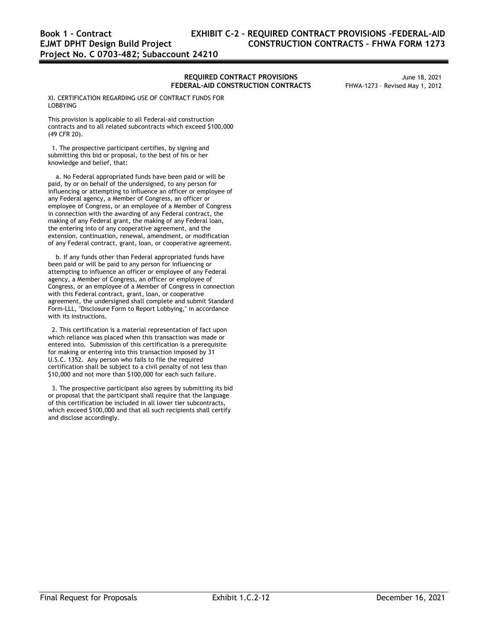## **REQUIRED CONTRACT PROVISIONS State of the USA CONTRACT PROVISIONS June 18, 2021 FEDERAL-AID CONSTRUCTION CONTRACTS** FHWA-1273 – Revised May 1, 2012

XI. CERTIFICATION REGARDING USE OF CONTRACT FUNDS FOR LOBBYING

This provision is applicable to all Federal-aid construction contracts and to all related subcontracts which exceed \$100,000 (49 CFR 20).

 1. The prospective participant certifies, by signing and submitting this bid or proposal, to the best of his or her knowledge and belief, that:

 a. No Federal appropriated funds have been paid or will be paid, by or on behalf of the undersigned, to any person for influencing or attempting to influence an officer or employee of any Federal agency, a Member of Congress, an officer or employee of Congress, or an employee of a Member of Congress in connection with the awarding of any Federal contract, the making of any Federal grant, the making of any Federal loan, the entering into of any cooperative agreement, and the extension, continuation, renewal, amendment, or modification of any Federal contract, grant, loan, or cooperative agreement.

 b. If any funds other than Federal appropriated funds have been paid or will be paid to any person for influencing or attempting to influence an officer or employee of any Federal agency, a Member of Congress, an officer or employee of Congress, or an employee of a Member of Congress in connection with this Federal contract, grant, loan, or cooperative agreement, the undersigned shall complete and submit Standard Form-LLL, "Disclosure Form to Report Lobbying," in accordance with its instructions.

 2. This certification is a material representation of fact upon which reliance was placed when this transaction was made or entered into. Submission of this certification is a prerequisite for making or entering into this transaction imposed by 31 U.S.C. 1352. Any person who fails to file the required certification shall be subject to a civil penalty of not less than \$10,000 and not more than \$100,000 for each such failure.

 3. The prospective participant also agrees by submitting its bid or proposal that the participant shall require that the language of this certification be included in all lower tier subcontracts, which exceed \$100,000 and that all such recipients shall certify and disclose accordingly.